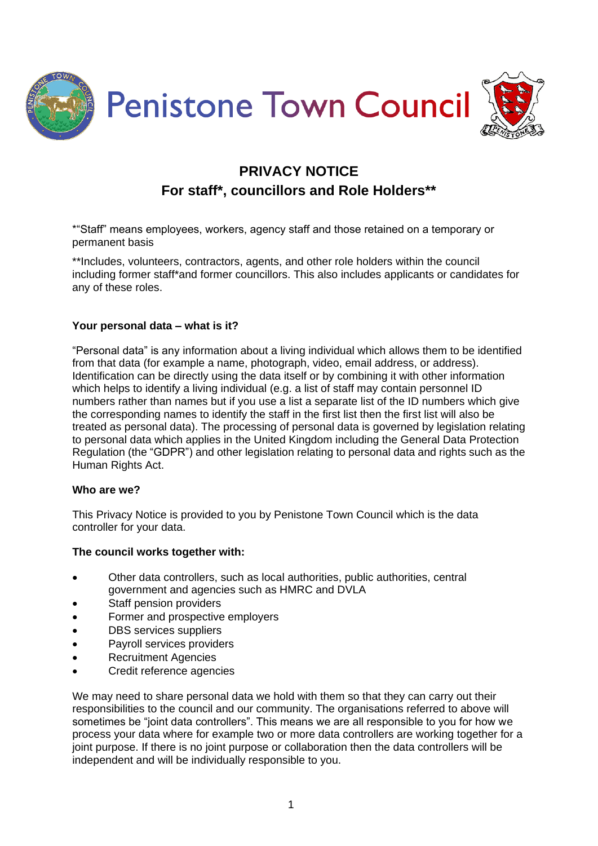

# **PRIVACY NOTICE For staff\*, councillors and Role Holders\*\***

\*"Staff" means employees, workers, agency staff and those retained on a temporary or permanent basis

\*\*Includes, volunteers, contractors, agents, and other role holders within the council including former staff\*and former councillors. This also includes applicants or candidates for any of these roles.

# **Your personal data – what is it?**

"Personal data" is any information about a living individual which allows them to be identified from that data (for example a name, photograph, video, email address, or address). Identification can be directly using the data itself or by combining it with other information which helps to identify a living individual (e.g. a list of staff may contain personnel ID numbers rather than names but if you use a list a separate list of the ID numbers which give the corresponding names to identify the staff in the first list then the first list will also be treated as personal data). The processing of personal data is governed by legislation relating to personal data which applies in the United Kingdom including the General Data Protection Regulation (the "GDPR") and other legislation relating to personal data and rights such as the Human Rights Act.

## **Who are we?**

This Privacy Notice is provided to you by Penistone Town Council which is the data controller for your data.

## **The council works together with:**

- Other data controllers, such as local authorities, public authorities, central government and agencies such as HMRC and DVLA
- Staff pension providers
- Former and prospective employers
- DBS services suppliers
- Payroll services providers
- Recruitment Agencies
- Credit reference agencies

We may need to share personal data we hold with them so that they can carry out their responsibilities to the council and our community. The organisations referred to above will sometimes be "joint data controllers". This means we are all responsible to you for how we process your data where for example two or more data controllers are working together for a joint purpose. If there is no joint purpose or collaboration then the data controllers will be independent and will be individually responsible to you.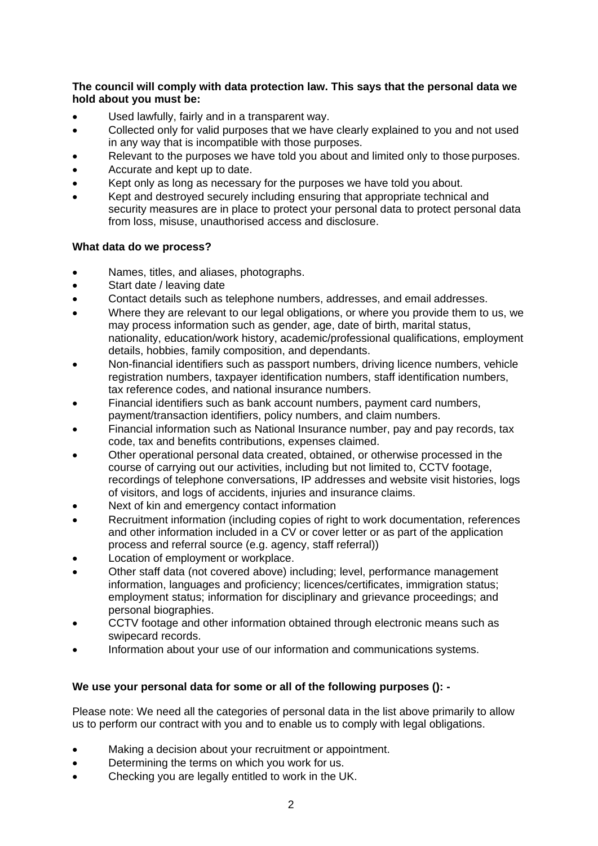**The council will comply with data protection law. This says that the personal data we hold about you must be:**

- Used lawfully, fairly and in a transparent way.
- Collected only for valid purposes that we have clearly explained to you and not used in any way that is incompatible with those purposes.
- Relevant to the purposes we have told you about and limited only to those purposes.
- Accurate and kept up to date.
- Kept only as long as necessary for the purposes we have told you about.
- Kept and destroyed securely including ensuring that appropriate technical and security measures are in place to protect your personal data to protect personal data from loss, misuse, unauthorised access and disclosure.

### **What data do we process?**

- Names, titles, and aliases, photographs.
- Start date / leaving date
- Contact details such as telephone numbers, addresses, and email addresses.
- Where they are relevant to our legal obligations, or where you provide them to us, we may process information such as gender, age, date of birth, marital status, nationality, education/work history, academic/professional qualifications, employment details, hobbies, family composition, and dependants.
- Non-financial identifiers such as passport numbers, driving licence numbers, vehicle registration numbers, taxpayer identification numbers, staff identification numbers, tax reference codes, and national insurance numbers.
- Financial identifiers such as bank account numbers, payment card numbers, payment/transaction identifiers, policy numbers, and claim numbers.
- Financial information such as National Insurance number, pay and pay records, tax code, tax and benefits contributions, expenses claimed.
- Other operational personal data created, obtained, or otherwise processed in the course of carrying out our activities, including but not limited to, CCTV footage, recordings of telephone conversations, IP addresses and website visit histories, logs of visitors, and logs of accidents, injuries and insurance claims.
- Next of kin and emergency contact information
- Recruitment information (including copies of right to work documentation, references and other information included in a CV or cover letter or as part of the application process and referral source (e.g. agency, staff referral))
- Location of employment or workplace.
- Other staff data (not covered above) including; level, performance management information, languages and proficiency; licences/certificates, immigration status; employment status; information for disciplinary and grievance proceedings; and personal biographies.
- CCTV footage and other information obtained through electronic means such as swipecard records.
- Information about your use of our information and communications systems.

### **We use your personal data for some or all of the following purposes (): -**

Please note: We need all the categories of personal data in the list above primarily to allow us to perform our contract with you and to enable us to comply with legal obligations.

- Making a decision about your recruitment or appointment.
- Determining the terms on which you work for us.
- Checking you are legally entitled to work in the UK.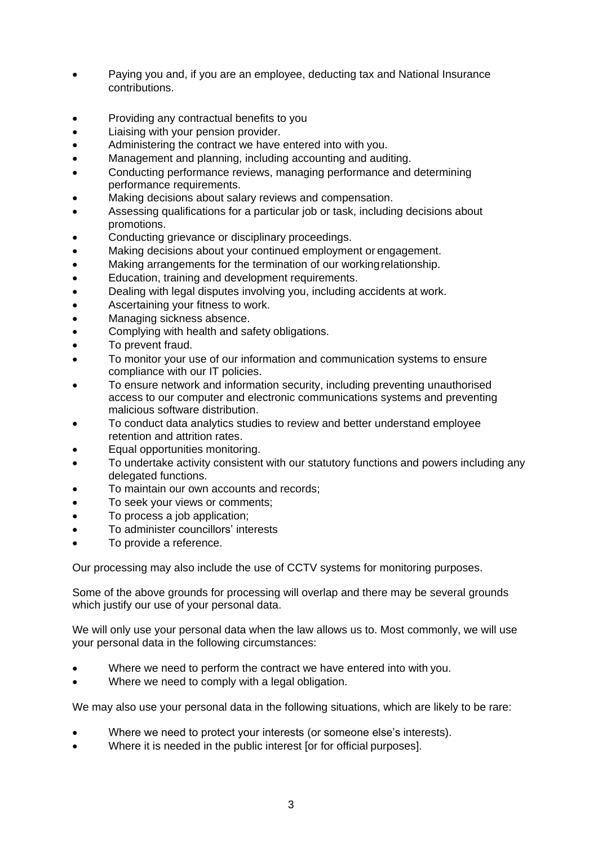- Paying you and, if you are an employee, deducting tax and National Insurance contributions.
- Providing any contractual benefits to you
- Liaising with your pension provider.
- Administering the contract we have entered into with you.
- Management and planning, including accounting and auditing.
- Conducting performance reviews, managing performance and determining performance requirements.
- Making decisions about salary reviews and compensation.
- Assessing qualifications for a particular job or task, including decisions about promotions.
- Conducting grievance or disciplinary proceedings.
- Making decisions about your continued employment or engagement.
- Making arrangements for the termination of our workingrelationship.
- Education, training and development requirements.
- Dealing with legal disputes involving you, including accidents at work.
- Ascertaining your fitness to work.
- Managing sickness absence.
- Complying with health and safety obligations.
- To prevent fraud.
- To monitor your use of our information and communication systems to ensure compliance with our IT policies.
- To ensure network and information security, including preventing unauthorised access to our computer and electronic communications systems and preventing malicious software distribution.
- To conduct data analytics studies to review and better understand employee retention and attrition rates.
- Equal opportunities monitoring.
- To undertake activity consistent with our statutory functions and powers including any delegated functions.
- To maintain our own accounts and records;
- To seek your views or comments;
- To process a job application;
- To administer councillors' interests
- To provide a reference.

Our processing may also include the use of CCTV systems for monitoring purposes.

Some of the above grounds for processing will overlap and there may be several grounds which justify our use of your personal data.

We will only use your personal data when the law allows us to. Most commonly, we will use your personal data in the following circumstances:

- Where we need to perform the contract we have entered into with you.
- Where we need to comply with a legal obligation.

We may also use your personal data in the following situations, which are likely to be rare:

- Where we need to protect your interests (or someone else's interests).
- Where it is needed in the public interest [or for official purposes].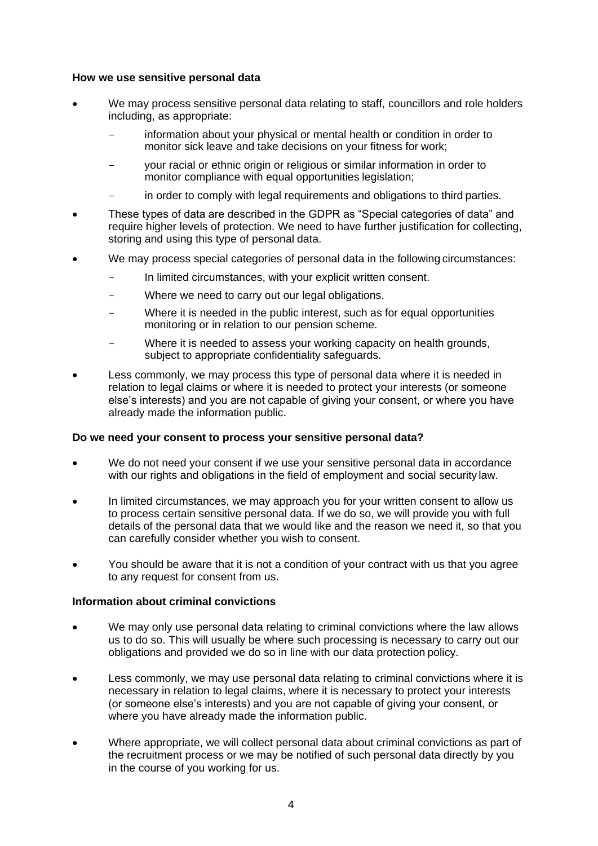### **How we use sensitive personal data**

- We may process sensitive personal data relating to staff, councillors and role holders including, as appropriate:
	- information about your physical or mental health or condition in order to monitor sick leave and take decisions on your fitness for work;
	- your racial or ethnic origin or religious or similar information in order to monitor compliance with equal opportunities legislation;
	- in order to comply with legal requirements and obligations to third parties.
- These types of data are described in the GDPR as "Special categories of data" and require higher levels of protection. We need to have further justification for collecting, storing and using this type of personal data.
- We may process special categories of personal data in the following circumstances:
	- In limited circumstances, with your explicit written consent.
	- Where we need to carry out our legal obligations.
	- Where it is needed in the public interest, such as for equal opportunities monitoring or in relation to our pension scheme.
	- Where it is needed to assess your working capacity on health grounds, subject to appropriate confidentiality safeguards.
- Less commonly, we may process this type of personal data where it is needed in relation to legal claims or where it is needed to protect your interests (or someone else's interests) and you are not capable of giving your consent, or where you have already made the information public.

#### **Do we need your consent to process your sensitive personal data?**

- We do not need your consent if we use your sensitive personal data in accordance with our rights and obligations in the field of employment and social security law.
- In limited circumstances, we may approach you for your written consent to allow us to process certain sensitive personal data. If we do so, we will provide you with full details of the personal data that we would like and the reason we need it, so that you can carefully consider whether you wish to consent.
- You should be aware that it is not a condition of your contract with us that you agree to any request for consent from us.

## **Information about criminal convictions**

- We may only use personal data relating to criminal convictions where the law allows us to do so. This will usually be where such processing is necessary to carry out our obligations and provided we do so in line with our data protection policy.
- Less commonly, we may use personal data relating to criminal convictions where it is necessary in relation to legal claims, where it is necessary to protect your interests (or someone else's interests) and you are not capable of giving your consent, or where you have already made the information public.
- Where appropriate, we will collect personal data about criminal convictions as part of the recruitment process or we may be notified of such personal data directly by you in the course of you working for us.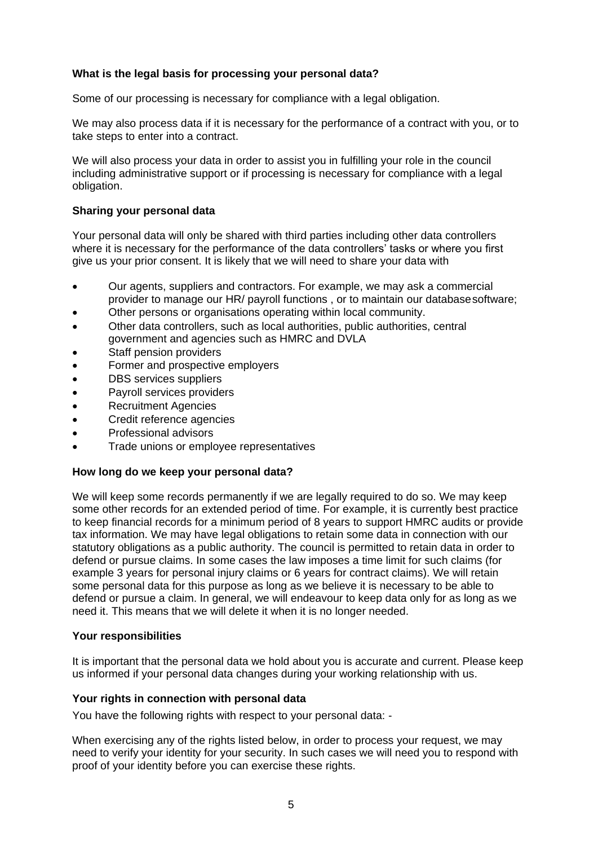# **What is the legal basis for processing your personal data?**

Some of our processing is necessary for compliance with a legal obligation.

We may also process data if it is necessary for the performance of a contract with you, or to take steps to enter into a contract.

We will also process your data in order to assist you in fulfilling your role in the council including administrative support or if processing is necessary for compliance with a legal obligation.

### **Sharing your personal data**

Your personal data will only be shared with third parties including other data controllers where it is necessary for the performance of the data controllers' tasks or where you first give us your prior consent. It is likely that we will need to share your data with

- Our agents, suppliers and contractors. For example, we may ask a commercial provider to manage our HR/ payroll functions , or to maintain our databasesoftware;
- Other persons or organisations operating within local community.
- Other data controllers, such as local authorities, public authorities, central government and agencies such as HMRC and DVLA
- Staff pension providers
- Former and prospective employers
- DBS services suppliers
- Payroll services providers
- Recruitment Agencies
- Credit reference agencies
- Professional advisors
- Trade unions or employee representatives

#### **How long do we keep your personal data?**

We will keep some records permanently if we are legally required to do so. We may keep some other records for an extended period of time. For example, it is currently best practice to keep financial records for a minimum period of 8 years to support HMRC audits or provide tax information. We may have legal obligations to retain some data in connection with our statutory obligations as a public authority. The council is permitted to retain data in order to defend or pursue claims. In some cases the law imposes a time limit for such claims (for example 3 years for personal injury claims or 6 years for contract claims). We will retain some personal data for this purpose as long as we believe it is necessary to be able to defend or pursue a claim. In general, we will endeavour to keep data only for as long as we need it. This means that we will delete it when it is no longer needed.

#### **Your responsibilities**

It is important that the personal data we hold about you is accurate and current. Please keep us informed if your personal data changes during your working relationship with us.

#### **Your rights in connection with personal data**

You have the following rights with respect to your personal data: -

When exercising any of the rights listed below, in order to process your request, we may need to verify your identity for your security. In such cases we will need you to respond with proof of your identity before you can exercise these rights.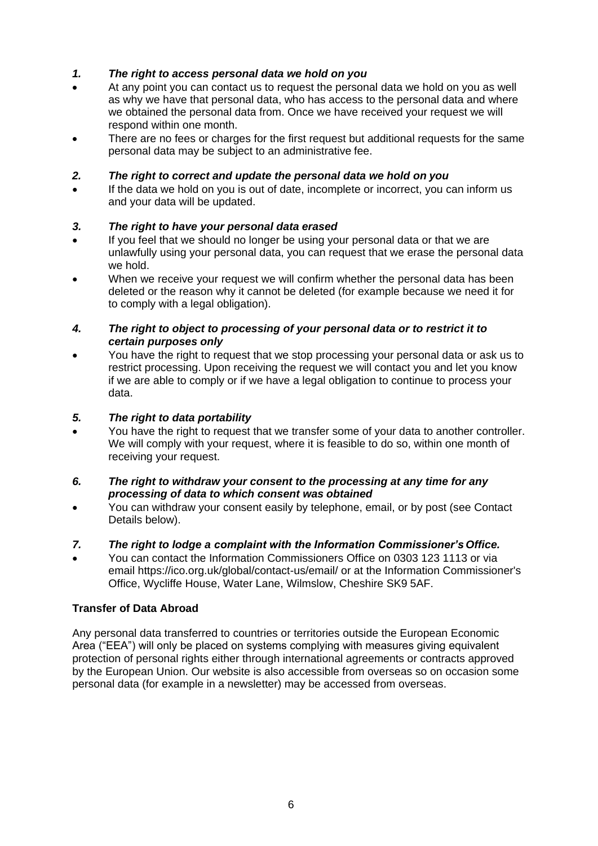# *1. The right to access personal data we hold on you*

- At any point you can contact us to request the personal data we hold on you as well as why we have that personal data, who has access to the personal data and where we obtained the personal data from. Once we have received your request we will respond within one month.
- There are no fees or charges for the first request but additional requests for the same personal data may be subject to an administrative fee.

# *2. The right to correct and update the personal data we hold on you*

 If the data we hold on you is out of date, incomplete or incorrect, you can inform us and your data will be updated.

# *3. The right to have your personal data erased*

- If you feel that we should no longer be using your personal data or that we are unlawfully using your personal data, you can request that we erase the personal data we hold.
- When we receive your request we will confirm whether the personal data has been deleted or the reason why it cannot be deleted (for example because we need it for to comply with a legal obligation).

## *4. The right to object to processing of your personal data or to restrict it to certain purposes only*

 You have the right to request that we stop processing your personal data or ask us to restrict processing. Upon receiving the request we will contact you and let you know if we are able to comply or if we have a legal obligation to continue to process your data.

# *5. The right to data portability*

 You have the right to request that we transfer some of your data to another controller. We will comply with your request, where it is feasible to do so, within one month of receiving your request.

## *6. The right to withdraw your consent to the processing at any time for any processing of data to which consent was obtained*

 You can withdraw your consent easily by telephone, email, or by post (see Contact Details below).

# *7. The right to lodge a complaint with the Information Commissioner's Office.*

 You can contact the Information Commissioners Office on 0303 123 1113 or via email https://ico.org.uk/global/contact-us/email/ or at the Information Commissioner's Office, Wycliffe House, Water Lane, Wilmslow, Cheshire SK9 5AF.

# **Transfer of Data Abroad**

Any personal data transferred to countries or territories outside the European Economic Area ("EEA") will only be placed on systems complying with measures giving equivalent protection of personal rights either through international agreements or contracts approved by the European Union. Our website is also accessible from overseas so on occasion some personal data (for example in a newsletter) may be accessed from overseas.